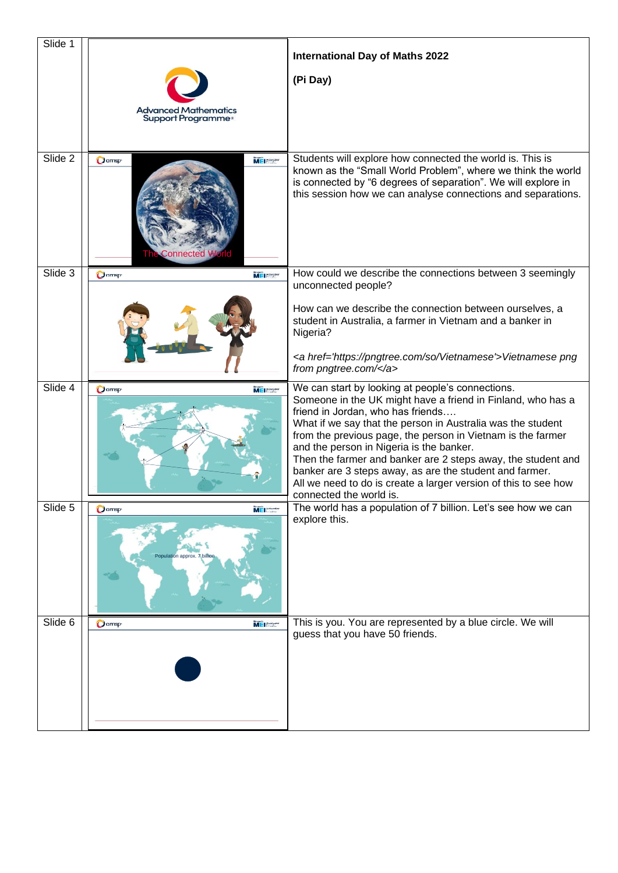| Slide 1 | <b>Advanced Mathematics</b><br>Support Programme <sup>®</sup> | <b>International Day of Maths 2022</b><br>(Pi Day)                                                                                                                                                                                                                                                                                                                                                                                                                                                                                                      |
|---------|---------------------------------------------------------------|---------------------------------------------------------------------------------------------------------------------------------------------------------------------------------------------------------------------------------------------------------------------------------------------------------------------------------------------------------------------------------------------------------------------------------------------------------------------------------------------------------------------------------------------------------|
| Slide 2 | $Q$ amsp<br>MEI Hataasta<br><b>Connected W</b>                | Students will explore how connected the world is. This is<br>known as the "Small World Problem", where we think the world<br>is connected by "6 degrees of separation". We will explore in<br>this session how we can analyse connections and separations.                                                                                                                                                                                                                                                                                              |
| Slide 3 | $O$ amsp<br><b>MEI</b>                                        | How could we describe the connections between 3 seemingly<br>unconnected people?                                                                                                                                                                                                                                                                                                                                                                                                                                                                        |
|         |                                                               | How can we describe the connection between ourselves, a<br>student in Australia, a farmer in Vietnam and a banker in<br>Nigeria?                                                                                                                                                                                                                                                                                                                                                                                                                        |
|         |                                                               | <a href="https://pngtree.com/so/Vietnamese">Vietnamese png<br/>from pngtree.com/</a>                                                                                                                                                                                                                                                                                                                                                                                                                                                                    |
| Slide 4 | MEI <b>Expertis</b><br>$O$ amsp                               | We can start by looking at people's connections.<br>Someone in the UK might have a friend in Finland, who has a<br>friend in Jordan, who has friends<br>What if we say that the person in Australia was the student<br>from the previous page, the person in Vietnam is the farmer<br>and the person in Nigeria is the banker.<br>Then the farmer and banker are 2 steps away, the student and<br>banker are 3 steps away, as are the student and farmer.<br>All we need to do is create a larger version of this to see how<br>connected the world is. |
| Slide 5 | <b>O</b> amsp<br>MEI Hangare<br>Population approx. 7 billion  | The world has a population of 7 billion. Let's see how we can<br>explore this.                                                                                                                                                                                                                                                                                                                                                                                                                                                                          |
| Slide 6 | <b>O</b> amsp<br>MEI Hangarik                                 | This is you. You are represented by a blue circle. We will<br>guess that you have 50 friends.                                                                                                                                                                                                                                                                                                                                                                                                                                                           |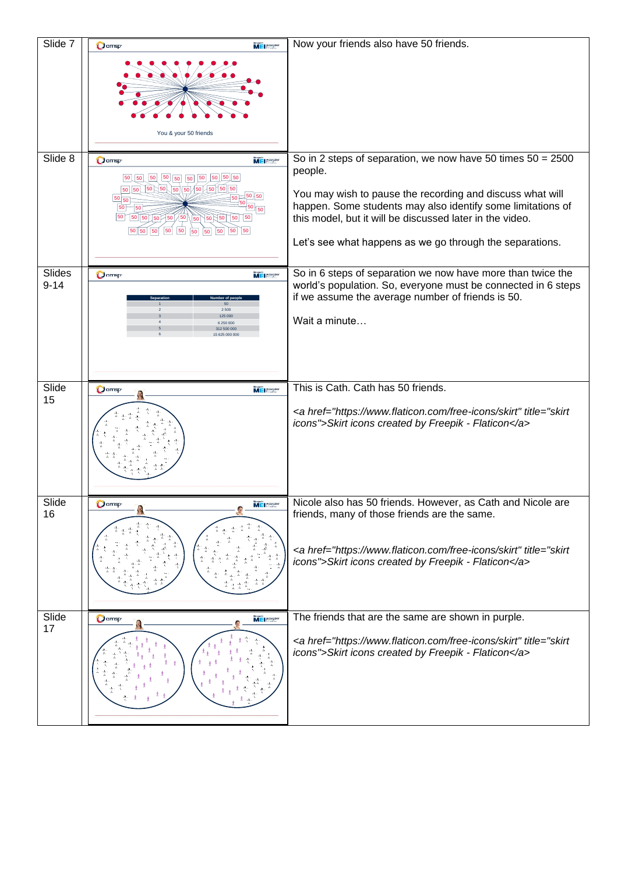| Slide 7                   | $Q$ amsp<br>ME Passage                                                                                                                                                                 | Now your friends also have 50 friends.                                                                                                                                                                                                                                                                                       |
|---------------------------|----------------------------------------------------------------------------------------------------------------------------------------------------------------------------------------|------------------------------------------------------------------------------------------------------------------------------------------------------------------------------------------------------------------------------------------------------------------------------------------------------------------------------|
|                           | You & your 50 friends                                                                                                                                                                  |                                                                                                                                                                                                                                                                                                                              |
| Slide 8                   | Damsp<br>MEI Hatagatik<br>50 50 50 50 50 50 50 50<br>$\boxed{50}$<br>50 50 50 50 50 50 50 50 50<br>50<br>50<br>$50 \big) 50 \big) 50 \big/ 50$<br>50<br>$\boxed{50}$<br>50<br>50 50 50 | So in 2 steps of separation, we now have 50 times $50 = 2500$<br>people.<br>You may wish to pause the recording and discuss what will<br>happen. Some students may also identify some limitations of<br>this model, but it will be discussed later in the video.<br>Let's see what happens as we go through the separations. |
| <b>Slides</b><br>$9 - 14$ | <b>Damsp</b><br>MEI Besedikt<br>6 250 000<br>12 500 000                                                                                                                                | So in 6 steps of separation we now have more than twice the<br>world's population. So, everyone must be connected in 6 steps<br>if we assume the average number of friends is 50.<br>Wait a minute                                                                                                                           |
| Slide<br>15               | <b>O</b> amsp<br>MEI HOOGLE                                                                                                                                                            | This is Cath. Cath has 50 friends.<br><a href="https://www.flaticon.com/free-icons/skirt" title="skirt&lt;br&gt;icons">Skirt icons created by Freepik - Flaticon</a>                                                                                                                                                         |
| Slide<br>16               | $Q$ amsp<br>$M \equiv$ $\frac{1}{2}$                                                                                                                                                   | Nicole also has 50 friends. However, as Cath and Nicole are<br>friends, many of those friends are the same.<br><a href="https://www.flaticon.com/free-icons/skirt" title="skirt&lt;br&gt;icons">Skirt icons created by Freepik - Flaticon</a>                                                                                |
| Slide<br>17               | $O$ amsp<br>MEI Patrosier                                                                                                                                                              | The friends that are the same are shown in purple.<br><a href="https://www.flaticon.com/free-icons/skirt" title="skirt&lt;br&gt;icons">Skirt icons created by Freepik - Flaticon</a>                                                                                                                                         |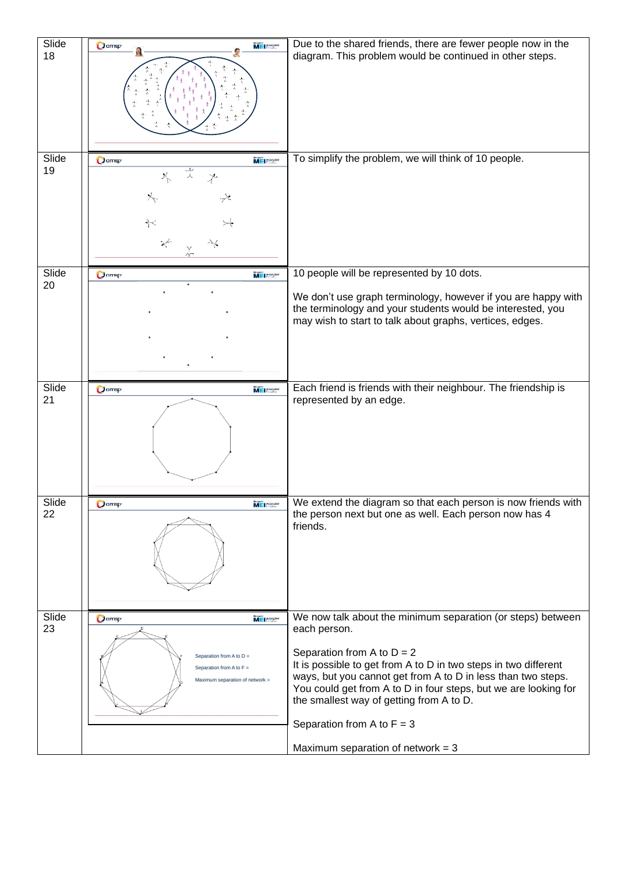| Slide<br>18 | $Q$ amsp<br>MEI Bassar                                                                                                     | Due to the shared friends, there are fewer people now in the<br>diagram. This problem would be continued in other steps.                                                                                                                                                                                                                                                                      |
|-------------|----------------------------------------------------------------------------------------------------------------------------|-----------------------------------------------------------------------------------------------------------------------------------------------------------------------------------------------------------------------------------------------------------------------------------------------------------------------------------------------------------------------------------------------|
| Slide       | <b>Damsp</b><br>MEI Patrostic                                                                                              | To simplify the problem, we will think of 10 people.                                                                                                                                                                                                                                                                                                                                          |
| 19          | ☆<br>$\lambda$<br>$\chi$<br>$\div$                                                                                         |                                                                                                                                                                                                                                                                                                                                                                                               |
|             |                                                                                                                            |                                                                                                                                                                                                                                                                                                                                                                                               |
| Slide       | MEI HANGARY<br>$O$ amsp                                                                                                    | 10 people will be represented by 10 dots.                                                                                                                                                                                                                                                                                                                                                     |
| 20          |                                                                                                                            | We don't use graph terminology, however if you are happy with<br>the terminology and your students would be interested, you<br>may wish to start to talk about graphs, vertices, edges.                                                                                                                                                                                                       |
|             |                                                                                                                            |                                                                                                                                                                                                                                                                                                                                                                                               |
| Slide<br>21 | <b>MEI</b><br><b>O</b> amsp                                                                                                | Each friend is friends with their neighbour. The friendship is<br>represented by an edge.                                                                                                                                                                                                                                                                                                     |
| Slide<br>22 | <b>Q</b> amsp<br>MEI Banker                                                                                                | We extend the diagram so that each person is now friends with<br>the person next but one as well. Each person now has 4<br>friends.                                                                                                                                                                                                                                                           |
| Slide<br>23 | <b>O</b> amsp<br>MEI Hannadia<br>Separation from A to D =<br>Separation from A to $F =$<br>Maximum separation of network = | We now talk about the minimum separation (or steps) between<br>each person.<br>Separation from A to $D = 2$<br>It is possible to get from A to D in two steps in two different<br>ways, but you cannot get from A to D in less than two steps.<br>You could get from A to D in four steps, but we are looking for<br>the smallest way of getting from A to D.<br>Separation from A to $F = 3$ |
|             |                                                                                                                            | Maximum separation of network = $3$                                                                                                                                                                                                                                                                                                                                                           |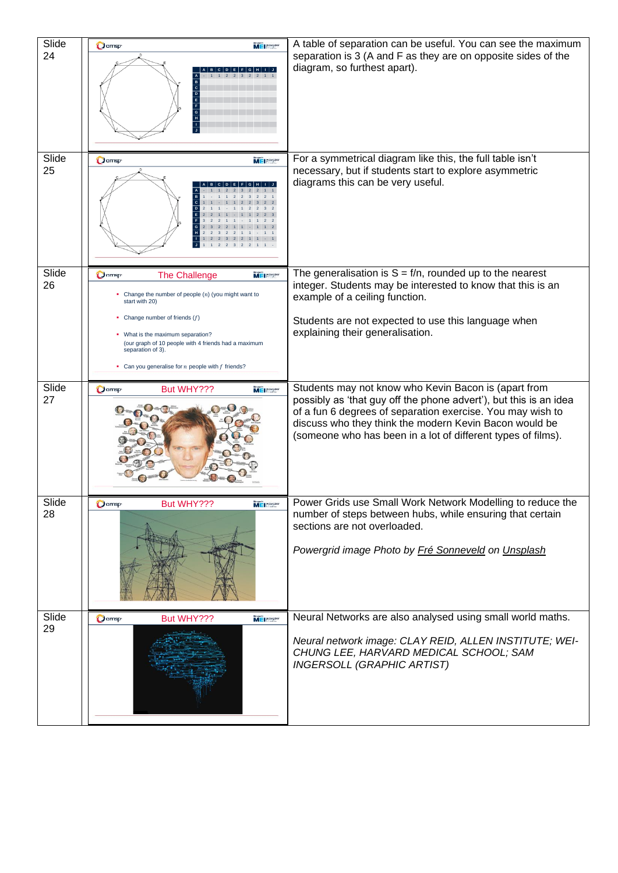| Slide<br>24 | <b>Damsp</b><br>ME Passage                                                                                                                                                                                                                                                                                                                  | A table of separation can be useful. You can see the maximum<br>separation is 3 (A and F as they are on opposite sides of the<br>diagram, so furthest apart).                                                                                                                                                     |
|-------------|---------------------------------------------------------------------------------------------------------------------------------------------------------------------------------------------------------------------------------------------------------------------------------------------------------------------------------------------|-------------------------------------------------------------------------------------------------------------------------------------------------------------------------------------------------------------------------------------------------------------------------------------------------------------------|
| Slide<br>25 | <b>O</b> amsp<br>MEI HANGOLIA                                                                                                                                                                                                                                                                                                               | For a symmetrical diagram like this, the full table isn't<br>necessary, but if students start to explore asymmetric<br>diagrams this can be very useful.                                                                                                                                                          |
| Slide<br>26 | $O$ amsp<br><b>The Challenge</b><br>MEI <b>Expedia</b><br>• Change the number of people $(n)$ (you might want to<br>start with 20)<br>Change number of friends $(f)$<br>What is the maximum separation?<br>(our graph of 10 people with 4 friends had a maximum<br>separation of 3).<br>Can you generalise for $n$ people with $f$ friends? | The generalisation is $S = f/n$ , rounded up to the nearest<br>integer. Students may be interested to know that this is an<br>example of a ceiling function.<br>Students are not expected to use this language when<br>explaining their generalisation.                                                           |
| Slide<br>27 | $Q$ amsp<br>MEI <b>Expertis</b><br>But WHY???                                                                                                                                                                                                                                                                                               | Students may not know who Kevin Bacon is (apart from<br>possibly as 'that guy off the phone advert'), but this is an idea<br>of a fun 6 degrees of separation exercise. You may wish to<br>discuss who they think the modern Kevin Bacon would be<br>(someone who has been in a lot of different types of films). |
| Slide<br>28 | $Q$ amsp<br>But WHY???<br><b>MEINER</b>                                                                                                                                                                                                                                                                                                     | Power Grids use Small Work Network Modelling to reduce the<br>number of steps between hubs, while ensuring that certain<br>sections are not overloaded.<br>Powergrid image Photo by Fré Sonneveld on Unsplash                                                                                                     |
| Slide<br>29 | $Q$ amsp<br>But WHY???<br>MEI Hataadka                                                                                                                                                                                                                                                                                                      | Neural Networks are also analysed using small world maths.<br>Neural network image: CLAY REID, ALLEN INSTITUTE; WEI-<br>CHUNG LEE, HARVARD MEDICAL SCHOOL; SAM<br><b>INGERSOLL (GRAPHIC ARTIST)</b>                                                                                                               |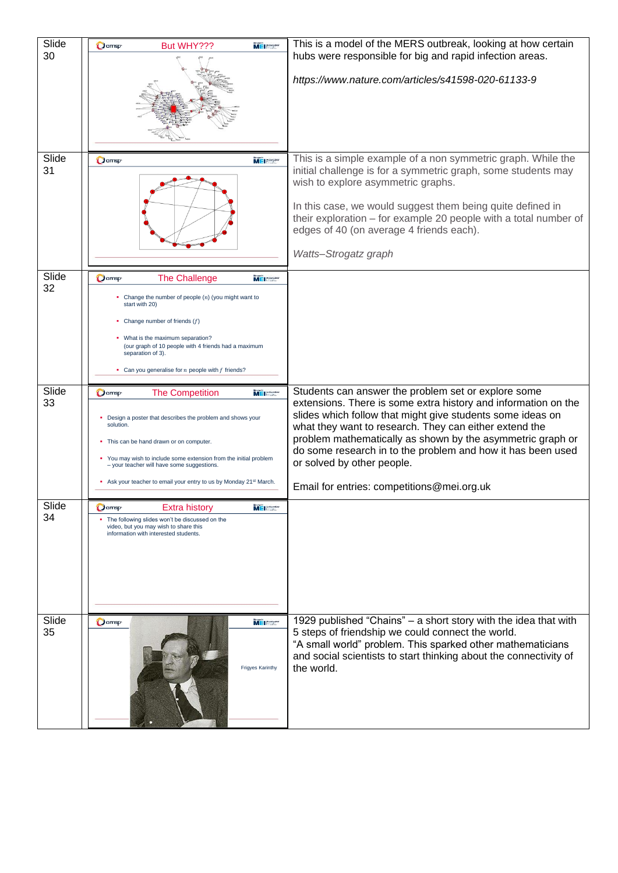| Slide<br>30       | $O$ amsp<br>But WHY???                                                                                                                                                                                                                                                                                                | MEI Habeatier      | This is a model of the MERS outbreak, looking at how certain<br>hubs were responsible for big and rapid infection areas.                                                                                                                                                                                                                                                                        |
|-------------------|-----------------------------------------------------------------------------------------------------------------------------------------------------------------------------------------------------------------------------------------------------------------------------------------------------------------------|--------------------|-------------------------------------------------------------------------------------------------------------------------------------------------------------------------------------------------------------------------------------------------------------------------------------------------------------------------------------------------------------------------------------------------|
|                   |                                                                                                                                                                                                                                                                                                                       |                    | https://www.nature.com/articles/s41598-020-61133-9                                                                                                                                                                                                                                                                                                                                              |
| Slide<br>31       | $O$ amsp                                                                                                                                                                                                                                                                                                              | MEI Patrosio       | This is a simple example of a non symmetric graph. While the<br>initial challenge is for a symmetric graph, some students may<br>wish to explore asymmetric graphs.<br>In this case, we would suggest them being quite defined in<br>their exploration - for example 20 people with a total number of<br>edges of 40 (on average 4 friends each).<br>Watts-Strogatz graph                       |
| Slide<br>32       | $Q$ amsp<br><b>The Challenge</b>                                                                                                                                                                                                                                                                                      | ME Patrodic        |                                                                                                                                                                                                                                                                                                                                                                                                 |
|                   | • Change the number of people $(n)$ (you might want to<br>start with 20)<br>Change number of friends $(f)$<br>• What is the maximum separation?<br>(our graph of 10 people with 4 friends had a maximum<br>separation of 3).<br>• Can you generalise for $n$ people with $f$ friends?                                 |                    |                                                                                                                                                                                                                                                                                                                                                                                                 |
| Slide             | <b>The Competition</b><br>$Q$ amsp                                                                                                                                                                                                                                                                                    | MEI Bandier        | Students can answer the problem set or explore some                                                                                                                                                                                                                                                                                                                                             |
|                   |                                                                                                                                                                                                                                                                                                                       |                    |                                                                                                                                                                                                                                                                                                                                                                                                 |
| 33                | • Design a poster that describes the problem and shows your<br>solution.<br>This can be hand drawn or on computer.<br>• You may wish to include some extension from the initial problem<br>- your teacher will have some suggestions.<br>Ask your teacher to email your entry to us by Monday 21 <sup>st</sup> March. |                    | extensions. There is some extra history and information on the<br>slides which follow that might give students some ideas on<br>what they want to research. They can either extend the<br>problem mathematically as shown by the asymmetric graph or<br>do some research in to the problem and how it has been used<br>or solved by other people.<br>Email for entries: competitions@mei.org.uk |
| Slide             | $Q$ amsp<br><b>Extra history</b>                                                                                                                                                                                                                                                                                      | MEI Hattendin      |                                                                                                                                                                                                                                                                                                                                                                                                 |
| 34<br>Slide<br>35 | The following slides won't be discussed on the<br>video, but you may wish to share this<br>information with interested students.<br><b>O</b> amsp                                                                                                                                                                     | MEI <b>Estadía</b> | 1929 published "Chains" - a short story with the idea that with<br>5 steps of friendship we could connect the world.<br>"A small world" problem. This sparked other mathematicians                                                                                                                                                                                                              |